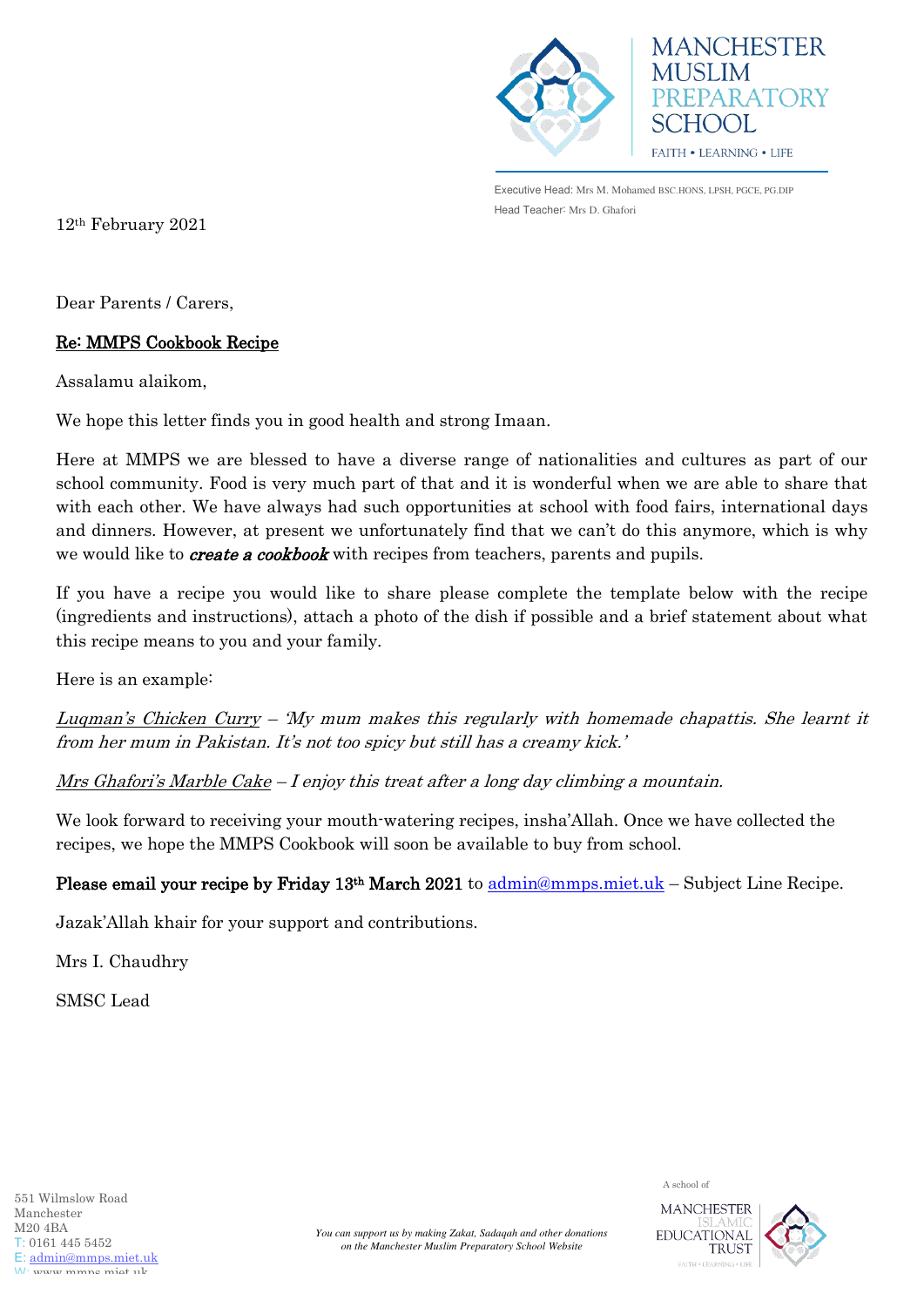

Executive Head: Mrs M. Mohamed BSC.HONS, LPSH, PGCE, PG.DIP Head Teacher: Mrs D. Ghafori

12th February 2021

Dear Parents / Carers,

## Re: MMPS Cookbook Recipe

Assalamu alaikom,

We hope this letter finds you in good health and strong Imaan.

Here at MMPS we are blessed to have a diverse range of nationalities and cultures as part of our school community. Food is very much part of that and it is wonderful when we are able to share that with each other. We have always had such opportunities at school with food fairs, international days and dinners. However, at present we unfortunately find that we can't do this anymore, which is why we would like to **create a cookbook** with recipes from teachers, parents and pupils.

If you have a recipe you would like to share please complete the template below with the recipe (ingredients and instructions), attach a photo of the dish if possible and a brief statement about what this recipe means to you and your family.

Here is an example:

Luqman's Chicken Curry – My mum makes this regularly with homemade chapattis. She learnt it from her mum in Pakistan. It's not too spicy but still has a creamy kick.'

Mrs Ghafori's Marble Cake  $-I$  enjoy this treat after a long day climbing a mountain.

We look forward to receiving your mouth-watering recipes, insha'Allah. Once we have collected the recipes, we hope the MMPS Cookbook will soon be available to buy from school.

Please email your recipe by Friday  $13<sup>th</sup>$  March 2021 to [admin@mmps.miet.uk](mailto:admin@mmps.miet.uk) – Subject Line Recipe.

Jazak'Allah khair for your support and contributions.

Mrs I. Chaudhry

SMSC Lead

A school of